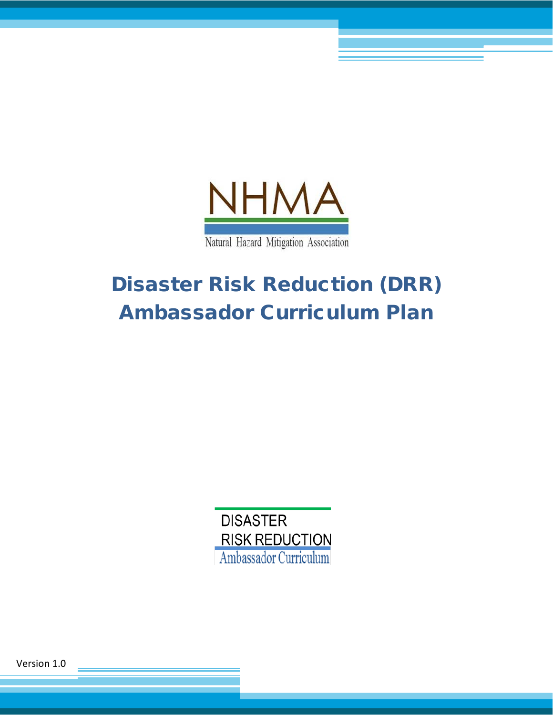

# Disaster Risk Reduction (DRR) Ambassador Curriculum Plan



Version 1.0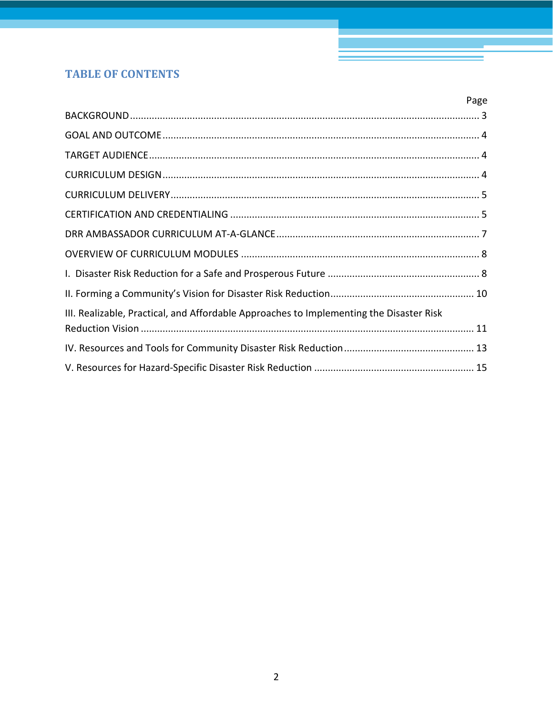# **TABLE OF CONTENTS**

|                                                                                         | Page |
|-----------------------------------------------------------------------------------------|------|
|                                                                                         |      |
|                                                                                         |      |
|                                                                                         |      |
|                                                                                         |      |
|                                                                                         |      |
|                                                                                         |      |
|                                                                                         |      |
|                                                                                         |      |
|                                                                                         |      |
|                                                                                         |      |
| III. Realizable, Practical, and Affordable Approaches to Implementing the Disaster Risk |      |
|                                                                                         |      |
|                                                                                         |      |
|                                                                                         |      |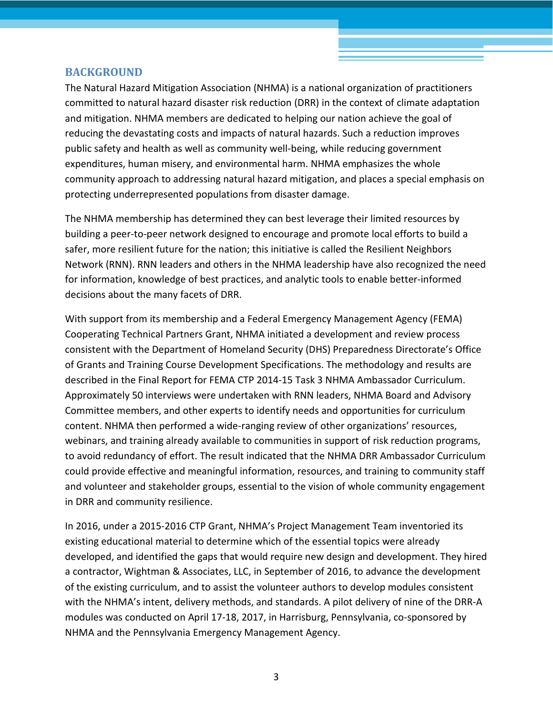#### <span id="page-2-0"></span>**BACKGROUND**

The Natural Hazard Mitigation Association (NHMA) is a national organization of practitioners committed to natural hazard disaster risk reduction (DRR) in the context of climate adaptation and mitigation. NHMA members are dedicated to helping our nation achieve the goal of reducing the devastating costs and impacts of natural hazards. Such a reduction improves public safety and health as well as community well-being, while reducing government expenditures, human misery, and environmental harm. NHMA emphasizes the whole community approach to addressing natural hazard mitigation, and places a special emphasis on protecting underrepresented populations from disaster damage.

The NHMA membership has determined they can best leverage their limited resources by building a peer-to-peer network designed to encourage and promote local efforts to build a safer, more resilient future for the nation; this initiative is called the Resilient Neighbors Network (RNN). RNN leaders and others in the NHMA leadership have also recognized the need for information, knowledge of best practices, and analytic tools to enable better-informed decisions about the many facets of DRR.

With support from its membership and a Federal Emergency Management Agency (FEMA) Cooperating Technical Partners Grant, NHMA initiated a development and review process consistent with the Department of Homeland Security (DHS) Preparedness Directorate's Office of Grants and Training Course Development Specifications. The methodology and results are described in the Final Report for FEMA CTP 2014-15 Task 3 NHMA Ambassador Curriculum. Approximately 50 interviews were undertaken with RNN leaders, NHMA Board and Advisory Committee members, and other experts to identify needs and opportunities for curriculum content. NHMA then performed a wide-ranging review of other organizations' resources, webinars, and training already available to communities in support of risk reduction programs, to avoid redundancy of effort. The result indicated that the NHMA DRR Ambassador Curriculum could provide effective and meaningful information, resources, and training to community staff and volunteer and stakeholder groups, essential to the vision of whole community engagement in DRR and community resilience.

In 2016, under a 2015-2016 CTP Grant, NHMA's Project Management Team inventoried its existing educational material to determine which of the essential topics were already developed, and identified the gaps that would require new design and development. They hired a contractor, Wightman & Associates, LLC, in September of 2016, to advance the development of the existing curriculum, and to assist the volunteer authors to develop modules consistent with the NHMA's intent, delivery methods, and standards. A pilot delivery of nine of the DRR-A modules was conducted on April 17-18, 2017, in Harrisburg, Pennsylvania, co-sponsored by NHMA and the Pennsylvania Emergency Management Agency.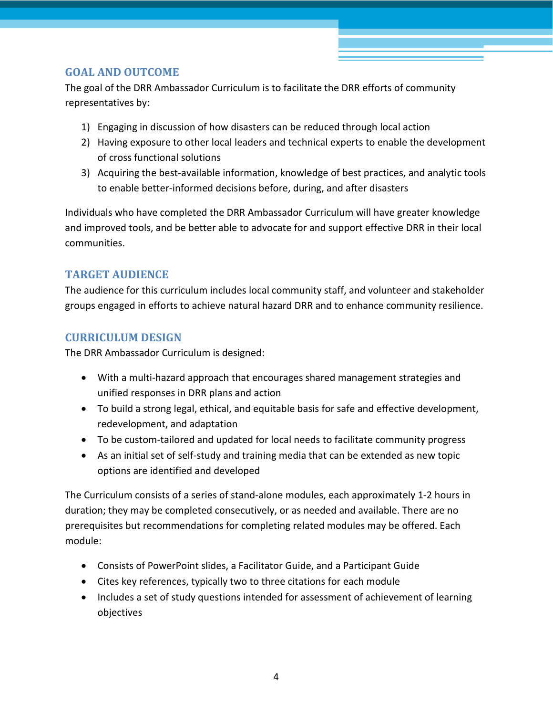# <span id="page-3-0"></span>**GOAL AND OUTCOME**

The goal of the DRR Ambassador Curriculum is to facilitate the DRR efforts of community representatives by:

- 1) Engaging in discussion of how disasters can be reduced through local action
- 2) Having exposure to other local leaders and technical experts to enable the development of cross functional solutions
- 3) Acquiring the best-available information, knowledge of best practices, and analytic tools to enable better-informed decisions before, during, and after disasters

Individuals who have completed the DRR Ambassador Curriculum will have greater knowledge and improved tools, and be better able to advocate for and support effective DRR in their local communities.

# <span id="page-3-1"></span>**TARGET AUDIENCE**

The audience for this curriculum includes local community staff, and volunteer and stakeholder groups engaged in efforts to achieve natural hazard DRR and to enhance community resilience.

# <span id="page-3-2"></span>**CURRICULUM DESIGN**

The DRR Ambassador Curriculum is designed:

- With a multi-hazard approach that encourages shared management strategies and unified responses in DRR plans and action
- To build a strong legal, ethical, and equitable basis for safe and effective development, redevelopment, and adaptation
- To be custom-tailored and updated for local needs to facilitate community progress
- As an initial set of self-study and training media that can be extended as new topic options are identified and developed

The Curriculum consists of a series of stand-alone modules, each approximately 1-2 hours in duration; they may be completed consecutively, or as needed and available. There are no prerequisites but recommendations for completing related modules may be offered. Each module:

- Consists of PowerPoint slides, a Facilitator Guide, and a Participant Guide
- Cites key references, typically two to three citations for each module
- Includes a set of study questions intended for assessment of achievement of learning objectives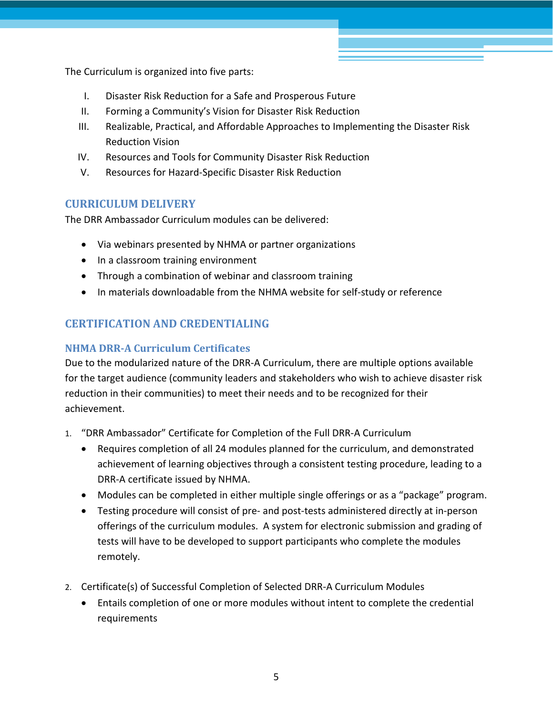The Curriculum is organized into five parts:

- I. Disaster Risk Reduction for a Safe and Prosperous Future
- II. Forming a Community's Vision for Disaster Risk Reduction
- III. Realizable, Practical, and Affordable Approaches to Implementing the Disaster Risk Reduction Vision
- IV. Resources and Tools for Community Disaster Risk Reduction
- V. Resources for Hazard-Specific Disaster Risk Reduction

# <span id="page-4-0"></span>**CURRICULUM DELIVERY**

The DRR Ambassador Curriculum modules can be delivered:

- Via webinars presented by NHMA or partner organizations
- In a classroom training environment
- Through a combination of webinar and classroom training
- In materials downloadable from the NHMA website for self-study or reference

# <span id="page-4-1"></span>**CERTIFICATION AND CREDENTIALING**

# **NHMA DRR-A Curriculum Certificates**

Due to the modularized nature of the DRR-A Curriculum, there are multiple options available for the target audience (community leaders and stakeholders who wish to achieve disaster risk reduction in their communities) to meet their needs and to be recognized for their achievement.

- 1. "DRR Ambassador" Certificate for Completion of the Full DRR-A Curriculum
	- Requires completion of all 24 modules planned for the curriculum, and demonstrated achievement of learning objectives through a consistent testing procedure, leading to a DRR-A certificate issued by NHMA.
	- Modules can be completed in either multiple single offerings or as a "package" program.
	- Testing procedure will consist of pre- and post-tests administered directly at in-person offerings of the curriculum modules. A system for electronic submission and grading of tests will have to be developed to support participants who complete the modules remotely.
- 2. Certificate(s) of Successful Completion of Selected DRR-A Curriculum Modules
	- Entails completion of one or more modules without intent to complete the credential requirements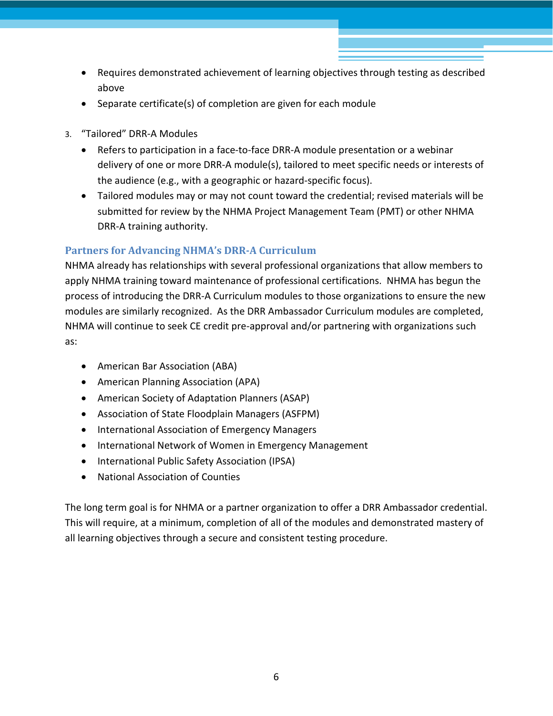- Requires demonstrated achievement of learning objectives through testing as described above
- Separate certificate(s) of completion are given for each module
- 3. "Tailored" DRR-A Modules
	- Refers to participation in a face-to-face DRR-A module presentation or a webinar delivery of one or more DRR-A module(s), tailored to meet specific needs or interests of the audience (e.g., with a geographic or hazard-specific focus).
	- Tailored modules may or may not count toward the credential; revised materials will be submitted for review by the NHMA Project Management Team (PMT) or other NHMA DRR-A training authority.

## **Partners for Advancing NHMA's DRR-A Curriculum**

NHMA already has relationships with several professional organizations that allow members to apply NHMA training toward maintenance of professional certifications. NHMA has begun the process of introducing the DRR-A Curriculum modules to those organizations to ensure the new modules are similarly recognized. As the DRR Ambassador Curriculum modules are completed, NHMA will continue to seek CE credit pre-approval and/or partnering with organizations such as:

- American Bar Association (ABA)
- American Planning Association (APA)
- American Society of Adaptation Planners (ASAP)
- Association of State Floodplain Managers (ASFPM)
- International Association of Emergency Managers
- International Network of Women in Emergency Management
- International Public Safety Association (IPSA)
- National Association of Counties

The long term goal is for NHMA or a partner organization to offer a DRR Ambassador credential. This will require, at a minimum, completion of all of the modules and demonstrated mastery of all learning objectives through a secure and consistent testing procedure.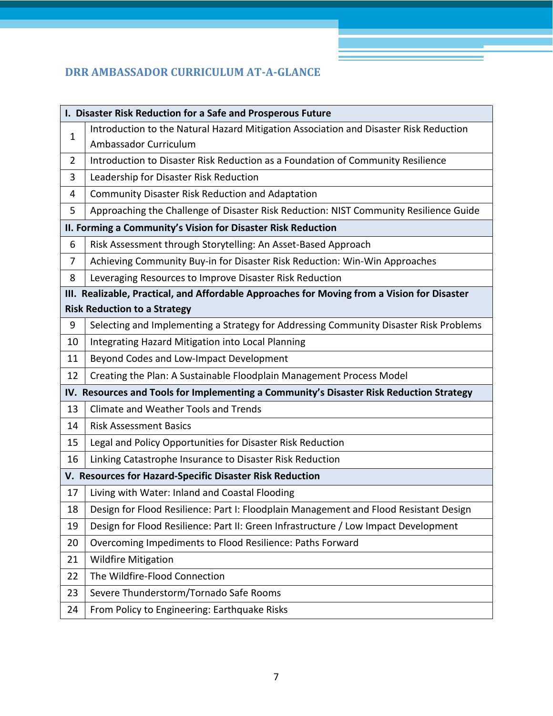# <span id="page-6-0"></span>**DRR AMBASSADOR CURRICULUM AT-A-GLANCE**

| I. Disaster Risk Reduction for a Safe and Prosperous Future                                 |                                                                                       |  |
|---------------------------------------------------------------------------------------------|---------------------------------------------------------------------------------------|--|
| $\mathbf{1}$                                                                                | Introduction to the Natural Hazard Mitigation Association and Disaster Risk Reduction |  |
|                                                                                             | Ambassador Curriculum                                                                 |  |
| $\overline{2}$                                                                              | Introduction to Disaster Risk Reduction as a Foundation of Community Resilience       |  |
| 3                                                                                           | Leadership for Disaster Risk Reduction                                                |  |
| 4                                                                                           | <b>Community Disaster Risk Reduction and Adaptation</b>                               |  |
| 5                                                                                           | Approaching the Challenge of Disaster Risk Reduction: NIST Community Resilience Guide |  |
| II. Forming a Community's Vision for Disaster Risk Reduction                                |                                                                                       |  |
| 6                                                                                           | Risk Assessment through Storytelling: An Asset-Based Approach                         |  |
| 7                                                                                           | Achieving Community Buy-in for Disaster Risk Reduction: Win-Win Approaches            |  |
| 8                                                                                           | Leveraging Resources to Improve Disaster Risk Reduction                               |  |
| III. Realizable, Practical, and Affordable Approaches for Moving from a Vision for Disaster |                                                                                       |  |
| <b>Risk Reduction to a Strategy</b>                                                         |                                                                                       |  |
| 9                                                                                           | Selecting and Implementing a Strategy for Addressing Community Disaster Risk Problems |  |
| 10                                                                                          | Integrating Hazard Mitigation into Local Planning                                     |  |
| 11                                                                                          | Beyond Codes and Low-Impact Development                                               |  |
| 12                                                                                          | Creating the Plan: A Sustainable Floodplain Management Process Model                  |  |
| IV. Resources and Tools for Implementing a Community's Disaster Risk Reduction Strategy     |                                                                                       |  |
| 13                                                                                          | Climate and Weather Tools and Trends                                                  |  |
| 14                                                                                          | <b>Risk Assessment Basics</b>                                                         |  |
| 15                                                                                          | Legal and Policy Opportunities for Disaster Risk Reduction                            |  |
| 16                                                                                          | Linking Catastrophe Insurance to Disaster Risk Reduction                              |  |
| V. Resources for Hazard-Specific Disaster Risk Reduction                                    |                                                                                       |  |
| 17                                                                                          | Living with Water: Inland and Coastal Flooding                                        |  |
| 18                                                                                          | Design for Flood Resilience: Part I: Floodplain Management and Flood Resistant Design |  |
| 19                                                                                          | Design for Flood Resilience: Part II: Green Infrastructure / Low Impact Development   |  |
| 20                                                                                          | Overcoming Impediments to Flood Resilience: Paths Forward                             |  |
| 21                                                                                          | <b>Wildfire Mitigation</b>                                                            |  |
| 22                                                                                          | The Wildfire-Flood Connection                                                         |  |
| 23                                                                                          | Severe Thunderstorm/Tornado Safe Rooms                                                |  |
| 24                                                                                          | From Policy to Engineering: Earthquake Risks                                          |  |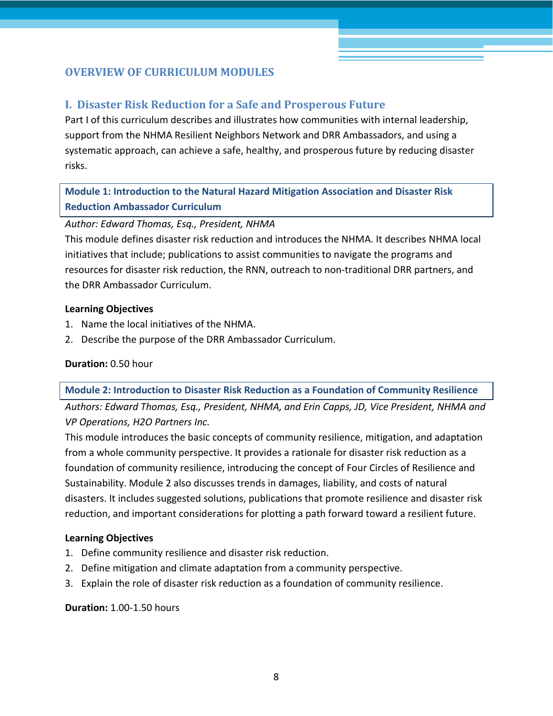# <span id="page-7-1"></span><span id="page-7-0"></span>**OVERVIEW OF CURRICULUM MODULES**

## **I. Disaster Risk Reduction for a Safe and Prosperous Future**

Part I of this curriculum describes and illustrates how communities with internal leadership, support from the NHMA Resilient Neighbors Network and DRR Ambassadors, and using a systematic approach, can achieve a safe, healthy, and prosperous future by reducing disaster risks.

**Module 1: Introduction to the Natural Hazard Mitigation Association and Disaster Risk Reduction Ambassador Curriculum**

#### *Author: Edward Thomas, Esq., President, NHMA*

This module defines disaster risk reduction and introduces the NHMA. It describes NHMA local initiatives that include; publications to assist communities to navigate the programs and resources for disaster risk reduction, the RNN, outreach to non-traditional DRR partners, and the DRR Ambassador Curriculum.

#### **Learning Objectives**

- 1. Name the local initiatives of the NHMA.
- 2. Describe the purpose of the DRR Ambassador Curriculum.

#### **Duration:** 0.50 hour

**Module 2: Introduction to Disaster Risk Reduction as a Foundation of Community Resilience** 

*Authors: Edward Thomas, Esq., President, NHMA, and Erin Capps, JD, Vice President, NHMA and VP Operations, H2O Partners Inc.*

This module introduces the basic concepts of community resilience, mitigation, and adaptation from a whole community perspective. It provides a rationale for disaster risk reduction as a foundation of community resilience, introducing the concept of Four Circles of Resilience and Sustainability. Module 2 also discusses trends in damages, liability, and costs of natural disasters. It includes suggested solutions, publications that promote resilience and disaster risk reduction, and important considerations for plotting a path forward toward a resilient future.

#### **Learning Objectives**

- 1. Define community resilience and disaster risk reduction.
- 2. Define mitigation and climate adaptation from a community perspective.
- 3. Explain the role of disaster risk reduction as a foundation of community resilience.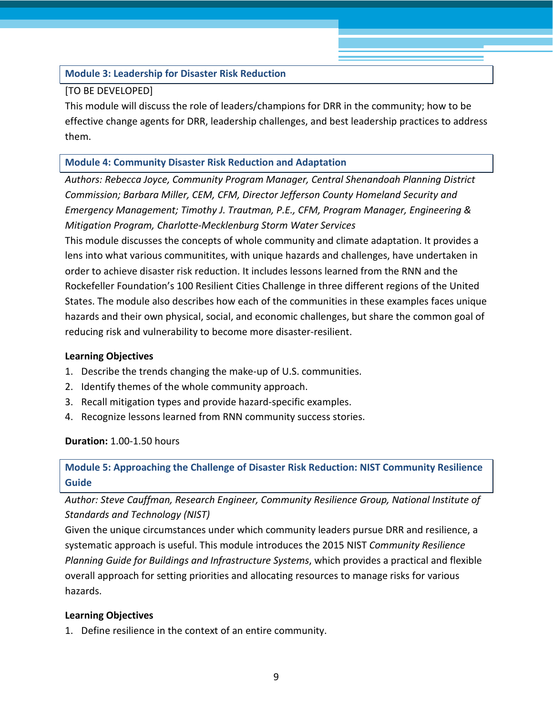#### **Module 3: Leadership for Disaster Risk Reduction**

#### [TO BE DEVELOPED]

This module will discuss the role of leaders/champions for DRR in the community; how to be effective change agents for DRR, leadership challenges, and best leadership practices to address them.

#### **Module 4: Community Disaster Risk Reduction and Adaptation**

*Authors: Rebecca Joyce, Community Program Manager, Central Shenandoah Planning District Commission; Barbara Miller, CEM, CFM, Director Jefferson County Homeland Security and Emergency Management; Timothy J. Trautman, P.E., CFM, Program Manager, Engineering & Mitigation Program, Charlotte-Mecklenburg Storm Water Services*

This module discusses the concepts of whole community and climate adaptation. It provides a lens into what various communitites, with unique hazards and challenges, have undertaken in order to achieve disaster risk reduction. It includes lessons learned from the RNN and the Rockefeller Foundation's 100 Resilient Cities Challenge in three different regions of the United States. The module also describes how each of the communities in these examples faces unique hazards and their own physical, social, and economic challenges, but share the common goal of reducing risk and vulnerability to become more disaster-resilient.

#### **Learning Objectives**

- 1. Describe the trends changing the make-up of U.S. communities.
- 2. Identify themes of the whole community approach.
- 3. Recall mitigation types and provide hazard-specific examples.
- 4. Recognize lessons learned from RNN community success stories.

#### **Duration:** 1.00-1.50 hours

**Module 5: Approaching the Challenge of Disaster Risk Reduction: NIST Community Resilience Guide**

*Author: Steve Cauffman, Research Engineer, Community Resilience Group, National Institute of Standards and Technology (NIST)*

Given the unique circumstances under which community leaders pursue DRR and resilience, a systematic approach is useful. This module introduces the 2015 NIST *Community Resilience Planning Guide for Buildings and Infrastructure Systems*, which provides a practical and flexible overall approach for setting priorities and allocating resources to manage risks for various hazards.

#### **Learning Objectives**

1. Define resilience in the context of an entire community.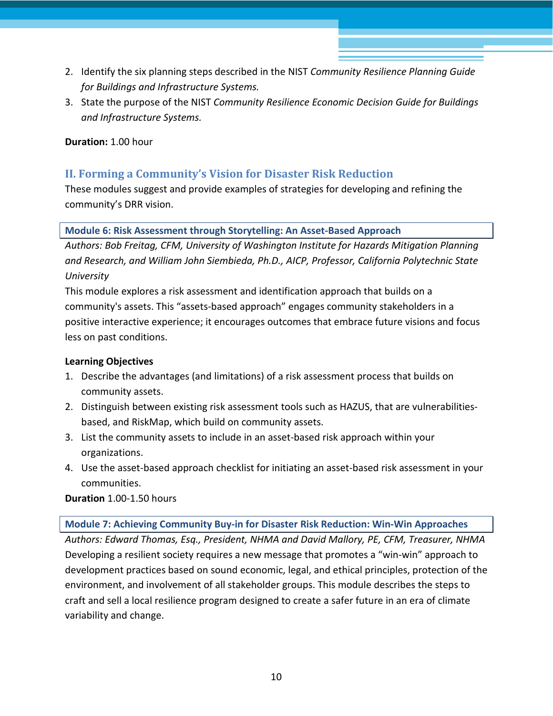- 2. Identify the six planning steps described in the NIST *Community Resilience Planning Guide for Buildings and Infrastructure Systems.*
- 3. State the purpose of the NIST *Community Resilience Economic Decision Guide for Buildings and Infrastructure Systems.*

#### **Duration:** 1.00 hour

# <span id="page-9-0"></span>**II. Forming a Community's Vision for Disaster Risk Reduction**

These modules suggest and provide examples of strategies for developing and refining the community's DRR vision.

#### **Module 6: Risk Assessment through Storytelling: An Asset-Based Approach**

*Authors: Bob Freitag, CFM, University of Washington Institute for Hazards Mitigation Planning and Research, and William John Siembieda, Ph.D., AICP, Professor, California Polytechnic State University*

This module explores a risk assessment and identification approach that builds on a community's assets. This "assets-based approach" engages community stakeholders in a positive interactive experience; it encourages outcomes that embrace future visions and focus less on past conditions.

#### **Learning Objectives**

- 1. Describe the advantages (and limitations) of a risk assessment process that builds on community assets.
- 2. Distinguish between existing risk assessment tools such as HAZUS, that are vulnerabilitiesbased, and RiskMap, which build on community assets.
- 3. List the community assets to include in an asset-based risk approach within your organizations.
- 4. Use the asset-based approach checklist for initiating an asset-based risk assessment in your communities.

#### **Duration** 1.00-1.50 hours

#### **Module 7: Achieving Community Buy-in for Disaster Risk Reduction: Win-Win Approaches**

*Authors: Edward Thomas, Esq., President, NHMA and David Mallory, PE, CFM, Treasurer, NHMA* Developing a resilient society requires a new message that promotes a "win-win" approach to development practices based on sound economic, legal, and ethical principles, protection of the environment, and involvement of all stakeholder groups. This module describes the steps to craft and sell a local resilience program designed to create a safer future in an era of climate variability and change.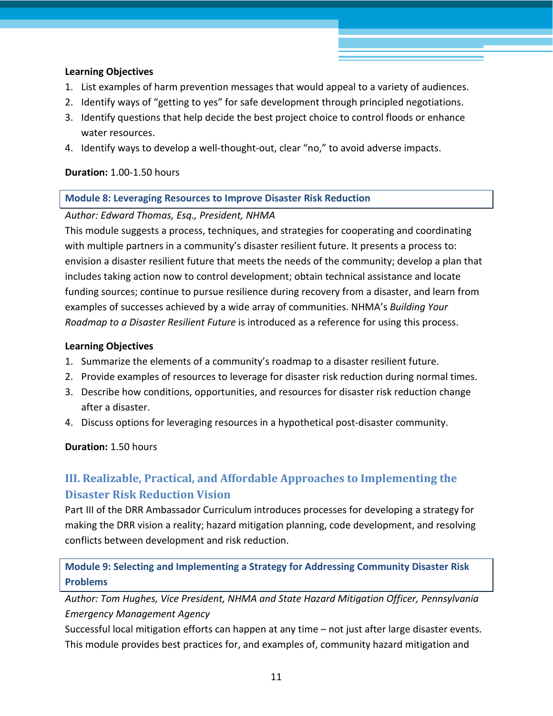#### **Learning Objectives**

- 1. List examples of harm prevention messages that would appeal to a variety of audiences.
- 2. Identify ways of "getting to yes" for safe development through principled negotiations.
- 3. Identify questions that help decide the best project choice to control floods or enhance water resources.
- 4. Identify ways to develop a well-thought-out, clear "no," to avoid adverse impacts.

#### **Duration:** 1.00-1.50 hours

#### **Module 8: Leveraging Resources to Improve Disaster Risk Reduction**

#### *Author: Edward Thomas, Esq., President, NHMA*

This module suggests a process, techniques, and strategies for cooperating and coordinating with multiple partners in a community's disaster resilient future. It presents a process to: envision a disaster resilient future that meets the needs of the community; develop a plan that includes taking action now to control development; obtain technical assistance and locate funding sources; continue to pursue resilience during recovery from a disaster, and learn from examples of successes achieved by a wide array of communities. NHMA's *Building Your Roadmap to a Disaster Resilient Future* is introduced as a reference for using this process.

#### **Learning Objectives**

- 1. Summarize the elements of a community's roadmap to a disaster resilient future.
- 2. Provide examples of resources to leverage for disaster risk reduction during normal times.
- 3. Describe how conditions, opportunities, and resources for disaster risk reduction change after a disaster.
- 4. Discuss options for leveraging resources in a hypothetical post-disaster community.

#### **Duration:** 1.50 hours

# <span id="page-10-0"></span>**III. Realizable, Practical, and Affordable Approaches to Implementing the Disaster Risk Reduction Vision**

Part III of the DRR Ambassador Curriculum introduces processes for developing a strategy for making the DRR vision a reality; hazard mitigation planning, code development, and resolving conflicts between development and risk reduction.

**Module 9: Selecting and Implementing a Strategy for Addressing Community Disaster Risk Problems** 

*Author: Tom Hughes, Vice President, NHMA and State Hazard Mitigation Officer, Pennsylvania Emergency Management Agency* 

Successful local mitigation efforts can happen at any time – not just after large disaster events. This module provides best practices for, and examples of, community hazard mitigation and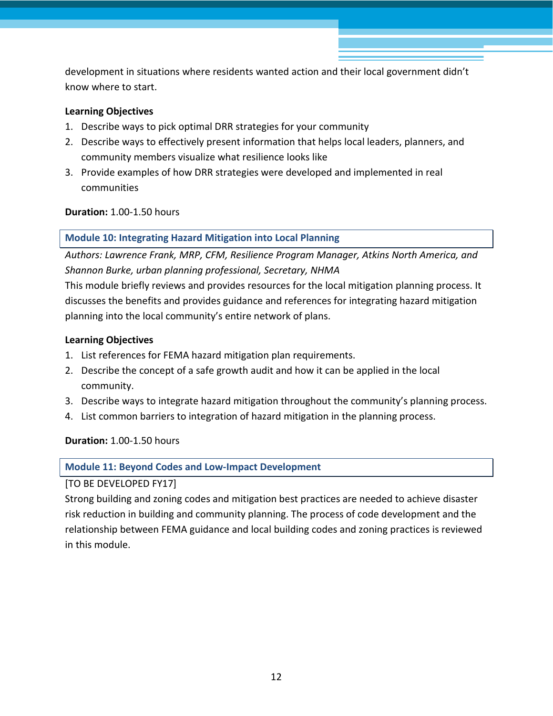development in situations where residents wanted action and their local government didn't know where to start.

#### **Learning Objectives**

- 1. Describe ways to pick optimal DRR strategies for your community
- 2. Describe ways to effectively present information that helps local leaders, planners, and community members visualize what resilience looks like
- 3. Provide examples of how DRR strategies were developed and implemented in real communities

**Duration:** 1.00-1.50 hours

#### **Module 10: Integrating Hazard Mitigation into Local Planning**

*Authors: Lawrence Frank, MRP, CFM, Resilience Program Manager, Atkins North America, and Shannon Burke, urban planning professional, Secretary, NHMA*

This module briefly reviews and provides resources for the local mitigation planning process. It discusses the benefits and provides guidance and references for integrating hazard mitigation planning into the local community's entire network of plans.

#### **Learning Objectives**

- 1. List references for FEMA hazard mitigation plan requirements.
- 2. Describe the concept of a safe growth audit and how it can be applied in the local community.
- 3. Describe ways to integrate hazard mitigation throughout the community's planning process.
- 4. List common barriers to integration of hazard mitigation in the planning process.

**Duration:** 1.00-1.50 hours

**Module 11: Beyond Codes and Low-Impact Development**

[TO BE DEVELOPED FY17]

Strong building and zoning codes and mitigation best practices are needed to achieve disaster risk reduction in building and community planning. The process of code development and the relationship between FEMA guidance and local building codes and zoning practices is reviewed in this module.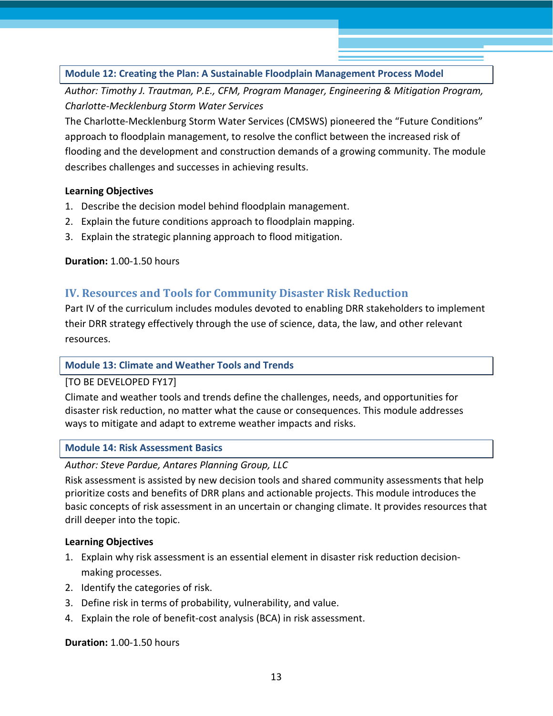### **Module 12: Creating the Plan: A Sustainable Floodplain Management Process Model**

*Author: Timothy J. Trautman, P.E., CFM, Program Manager, Engineering & Mitigation Program, Charlotte-Mecklenburg Storm Water Services*

The Charlotte-Mecklenburg Storm Water Services (CMSWS) pioneered the "Future Conditions" approach to floodplain management, to resolve the conflict between the increased risk of flooding and the development and construction demands of a growing community. The module describes challenges and successes in achieving results.

#### **Learning Objectives**

- 1. Describe the decision model behind floodplain management.
- 2. Explain the future conditions approach to floodplain mapping.
- 3. Explain the strategic planning approach to flood mitigation.

**Duration:** 1.00-1.50 hours

## <span id="page-12-0"></span>**IV. Resources and Tools for Community Disaster Risk Reduction**

Part IV of the curriculum includes modules devoted to enabling DRR stakeholders to implement their DRR strategy effectively through the use of science, data, the law, and other relevant resources.

#### **Module 13: Climate and Weather Tools and Trends**

[TO BE DEVELOPED FY17]

Climate and weather tools and trends define the challenges, needs, and opportunities for disaster risk reduction, no matter what the cause or consequences. This module addresses ways to mitigate and adapt to extreme weather impacts and risks.

#### **Module 14: Risk Assessment Basics**

*Author: Steve Pardue, Antares Planning Group, LLC*

Risk assessment is assisted by new decision tools and shared community assessments that help prioritize costs and benefits of DRR plans and actionable projects. This module introduces the basic concepts of risk assessment in an uncertain or changing climate. It provides resources that drill deeper into the topic.

#### **Learning Objectives**

- 1. Explain why risk assessment is an essential element in disaster risk reduction decisionmaking processes.
- 2. Identify the categories of risk.
- 3. Define risk in terms of probability, vulnerability, and value.
- 4. Explain the role of benefit-cost analysis (BCA) in risk assessment.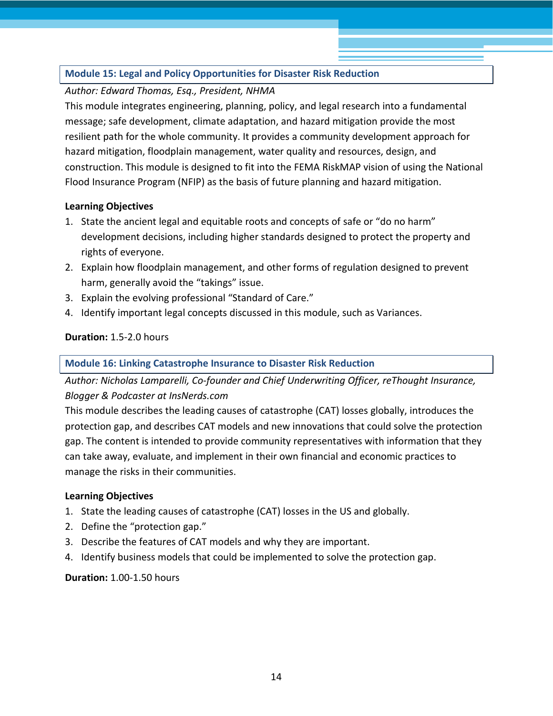### **Module 15: Legal and Policy Opportunities for Disaster Risk Reduction**

#### *Author: Edward Thomas, Esq., President, NHMA*

This module integrates engineering, planning, policy, and legal research into a fundamental message; safe development, climate adaptation, and hazard mitigation provide the most resilient path for the whole community. It provides a community development approach for hazard mitigation, floodplain management, water quality and resources, design, and construction. This module is designed to fit into the FEMA RiskMAP vision of using the National Flood Insurance Program (NFIP) as the basis of future planning and hazard mitigation.

#### **Learning Objectives**

- 1. State the ancient legal and equitable roots and concepts of safe or "do no harm" development decisions, including higher standards designed to protect the property and rights of everyone.
- 2. Explain how floodplain management, and other forms of regulation designed to prevent harm, generally avoid the "takings" issue.
- 3. Explain the evolving professional "Standard of Care."
- 4. Identify important legal concepts discussed in this module, such as Variances.

#### **Duration:** 1.5-2.0 hours

#### **Module 16: Linking Catastrophe Insurance to Disaster Risk Reduction**

*Author: Nicholas Lamparelli, Co-founder and Chief Underwriting Officer, reThought Insurance, Blogger & Podcaster at InsNerds.com*

This module describes the leading causes of catastrophe (CAT) losses globally, introduces the protection gap, and describes CAT models and new innovations that could solve the protection gap. The content is intended to provide community representatives with information that they can take away, evaluate, and implement in their own financial and economic practices to manage the risks in their communities.

#### **Learning Objectives**

- 1. State the leading causes of catastrophe (CAT) losses in the US and globally.
- 2. Define the "protection gap."
- 3. Describe the features of CAT models and why they are important.
- 4. Identify business models that could be implemented to solve the protection gap.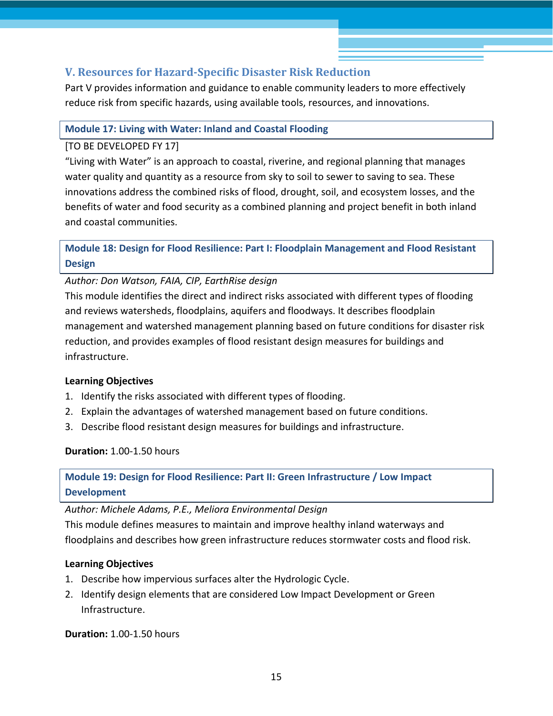# <span id="page-14-0"></span>**V. Resources for Hazard-Specific Disaster Risk Reduction**

Part V provides information and guidance to enable community leaders to more effectively reduce risk from specific hazards, using available tools, resources, and innovations.

#### **Module 17: Living with Water: Inland and Coastal Flooding**

#### [TO BE DEVELOPED FY 17]

"Living with Water" is an approach to coastal, riverine, and regional planning that manages water quality and quantity as a resource from sky to soil to sewer to saving to sea. These innovations address the combined risks of flood, drought, soil, and ecosystem losses, and the benefits of water and food security as a combined planning and project benefit in both inland and coastal communities.

# **Module 18: Design for Flood Resilience: Part I: Floodplain Management and Flood Resistant Design**

*Author: Don Watson, FAIA, CIP, EarthRise design*

This module identifies the direct and indirect risks associated with different types of flooding and reviews watersheds, floodplains, aquifers and floodways. It describes floodplain management and watershed management planning based on future conditions for disaster risk reduction, and provides examples of flood resistant design measures for buildings and infrastructure.

#### **Learning Objectives**

- 1. Identify the risks associated with different types of flooding.
- 2. Explain the advantages of watershed management based on future conditions.
- 3. Describe flood resistant design measures for buildings and infrastructure.

**Duration:** 1.00-1.50 hours

# **Module 19: Design for Flood Resilience: Part II: Green Infrastructure / Low Impact Development**

*Author: Michele Adams, P.E., Meliora Environmental Design*

This module defines measures to maintain and improve healthy inland waterways and floodplains and describes how green infrastructure reduces stormwater costs and flood risk.

## **Learning Objectives**

- 1. Describe how impervious surfaces alter the Hydrologic Cycle.
- 2. Identify design elements that are considered Low Impact Development or Green Infrastructure.